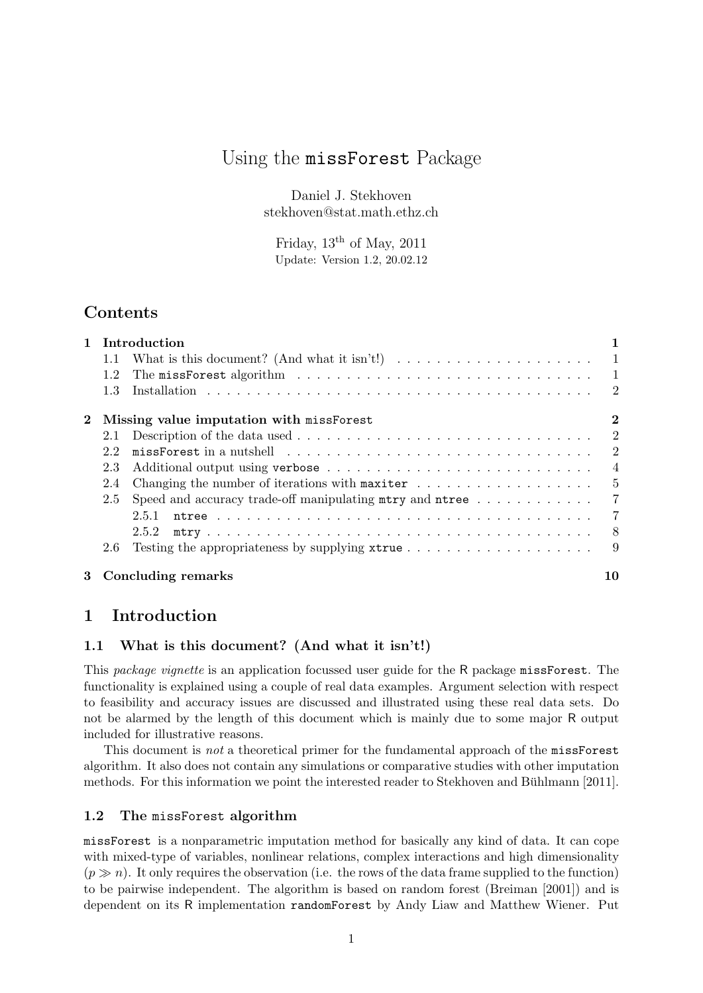# Using the missForest Package

Daniel J. Stekhoven stekhoven@stat.math.ethz.ch

Friday,  $13<sup>th</sup>$  of May,  $2011$ Update: Version 1.2, 20.02.12

# Contents

|                                                          | 1 Introduction |                                                                                               |                |  |  |
|----------------------------------------------------------|----------------|-----------------------------------------------------------------------------------------------|----------------|--|--|
|                                                          | 1.1            | What is this document? (And what it isn't!) $\dots \dots \dots \dots \dots \dots \dots \dots$ |                |  |  |
|                                                          | 1.2            |                                                                                               | $\mathbf{1}$   |  |  |
|                                                          | 1.3            |                                                                                               | $\overline{2}$ |  |  |
| $\mathbf{2}$<br>Missing value imputation with missForest |                |                                                                                               |                |  |  |
|                                                          | 2.1            |                                                                                               | $\overline{2}$ |  |  |
|                                                          | 2.2            |                                                                                               | $\overline{2}$ |  |  |
|                                                          | 2.3            |                                                                                               | $\overline{4}$ |  |  |
|                                                          | 2.4            | Changing the number of iterations with maxiter $\dots \dots \dots \dots \dots \dots$          | 5              |  |  |
|                                                          | 2.5            | Speed and accuracy trade-off manipulating $mtry$ and $ntree$                                  | $\overline{7}$ |  |  |
|                                                          |                | 2.5.1                                                                                         | $\overline{7}$ |  |  |
|                                                          |                | 2.5.2                                                                                         | - 8            |  |  |
|                                                          | 2.6            |                                                                                               | 9              |  |  |
| $3 -$                                                    |                | <b>Concluding remarks</b>                                                                     | 10             |  |  |

# 1 Introduction

### 1.1 What is this document? (And what it isn't!)

This package vignette is an application focussed user guide for the R package missForest. The functionality is explained using a couple of real data examples. Argument selection with respect to feasibility and accuracy issues are discussed and illustrated using these real data sets. Do not be alarmed by the length of this document which is mainly due to some major R output included for illustrative reasons.

This document is *not* a theoretical primer for the fundamental approach of the missForest algorithm. It also does not contain any simulations or comparative studies with other imputation methods. For this information we point the interested reader to Stekhoven and Bühlmann [2011].

#### 1.2 The missForest algorithm

missForest is a nonparametric imputation method for basically any kind of data. It can cope with mixed-type of variables, nonlinear relations, complex interactions and high dimensionality  $(p \gg n)$ . It only requires the observation (i.e. the rows of the data frame supplied to the function) to be pairwise independent. The algorithm is based on random forest (Breiman [2001]) and is dependent on its R implementation randomForest by Andy Liaw and Matthew Wiener. Put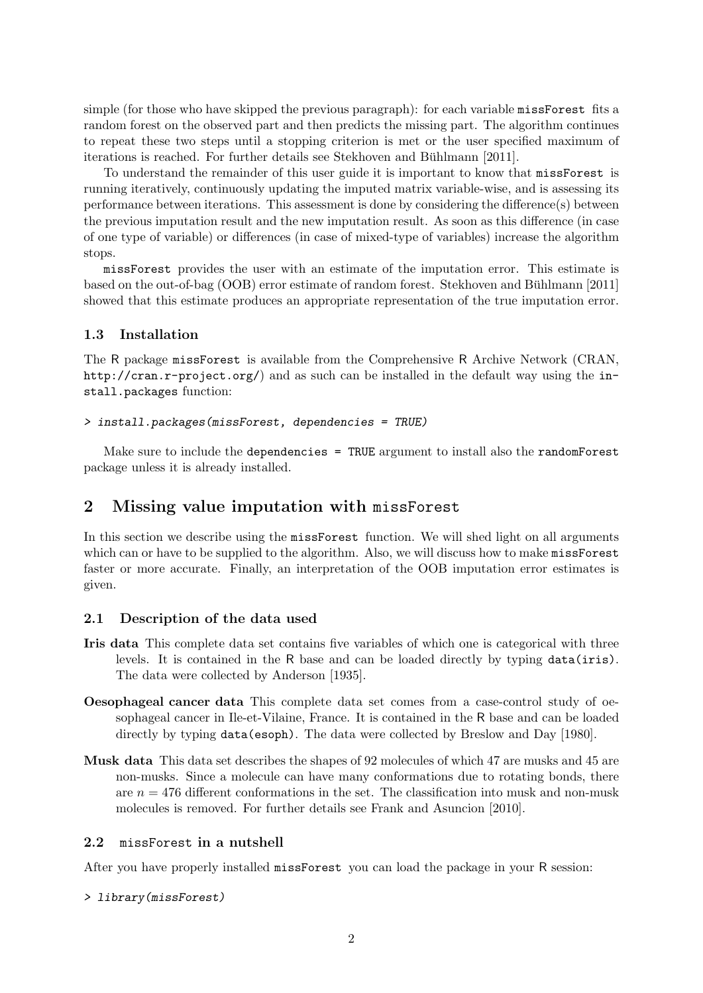simple (for those who have skipped the previous paragraph): for each variable missForest fits a random forest on the observed part and then predicts the missing part. The algorithm continues to repeat these two steps until a stopping criterion is met or the user specified maximum of iterations is reached. For further details see Stekhoven and Bühlmann [2011].

To understand the remainder of this user guide it is important to know that missForest is running iteratively, continuously updating the imputed matrix variable-wise, and is assessing its performance between iterations. This assessment is done by considering the difference(s) between the previous imputation result and the new imputation result. As soon as this difference (in case of one type of variable) or differences (in case of mixed-type of variables) increase the algorithm stops.

missForest provides the user with an estimate of the imputation error. This estimate is based on the out-of-bag (OOB) error estimate of random forest. Stekhoven and Bühlmann [2011] showed that this estimate produces an appropriate representation of the true imputation error.

### 1.3 Installation

The R package missForest is available from the Comprehensive R Archive Network (CRAN, http://cran.r-project.org/) and as such can be installed in the default way using the install.packages function:

#### > install.packages(missForest, dependencies = TRUE)

Make sure to include the dependencies = TRUE argument to install also the randomForest package unless it is already installed.

## 2 Missing value imputation with missForest

In this section we describe using the missForest function. We will shed light on all arguments which can or have to be supplied to the algorithm. Also, we will discuss how to make missForest faster or more accurate. Finally, an interpretation of the OOB imputation error estimates is given.

#### 2.1 Description of the data used

- Iris data This complete data set contains five variables of which one is categorical with three levels. It is contained in the R base and can be loaded directly by typing data(iris). The data were collected by Anderson [1935].
- Oesophageal cancer data This complete data set comes from a case-control study of oesophageal cancer in Ile-et-Vilaine, France. It is contained in the R base and can be loaded directly by typing data(esoph). The data were collected by Breslow and Day [1980].
- Musk data This data set describes the shapes of 92 molecules of which 47 are musks and 45 are non-musks. Since a molecule can have many conformations due to rotating bonds, there are  $n = 476$  different conformations in the set. The classification into musk and non-musk molecules is removed. For further details see Frank and Asuncion [2010].

#### 2.2 missForest in a nutshell

After you have properly installed missForest you can load the package in your R session:

> library(missForest)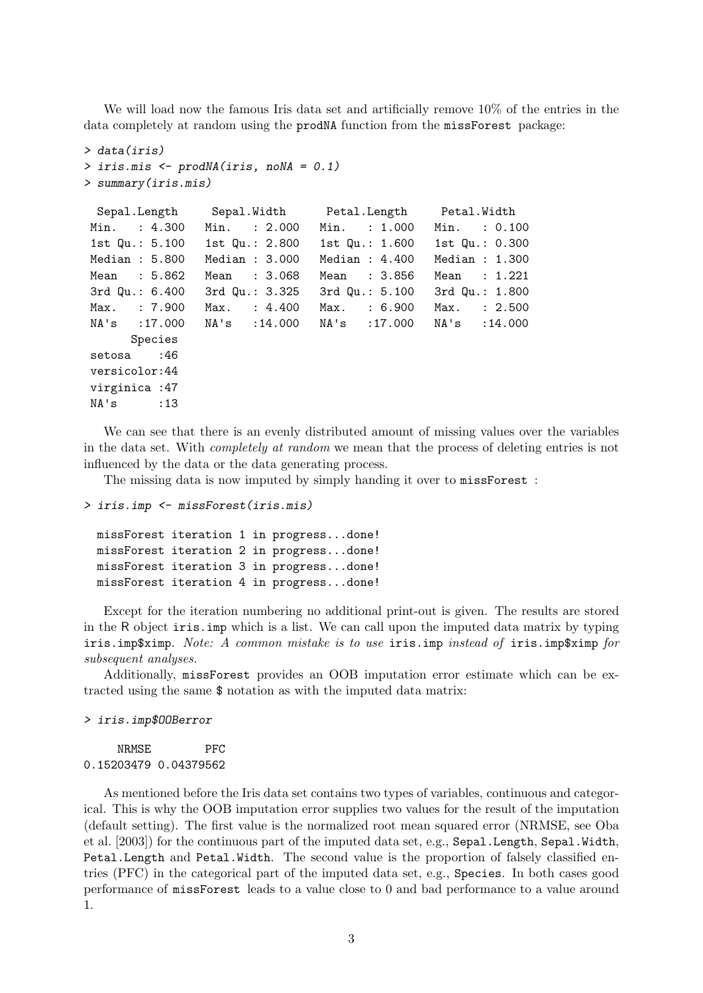We will load now the famous Iris data set and artificially remove  $10\%$  of the entries in the data completely at random using the prodNA function from the missForest package:

```
> data(iris)
> iris.mis <- prodNA(iris, noNA = 0.1)
> summary(iris.mis)
```

|                | Sepal.Length Sepal.Width Petal.Length Petal.Width  |                |                  |
|----------------|----------------------------------------------------|----------------|------------------|
| Min. : 4.300   | Min. : 2.000                                       | Min. : 1.000   | Min. : 0.100     |
|                | 1st Qu.: $5.100$ 1st Qu.: $2.800$ 1st Qu.: $1.600$ |                | 1st $Qu.: 0.300$ |
| Median : 5.800 | Median: 3.000                                      | Median: 4.400  | Median : $1.300$ |
| Mean : 5.862   | Mean : 3.068                                       | Mean : 3.856   | Mean : 1.221     |
| 3rd Qu.: 6.400 | 3rd Qu.: 3.325                                     | 3rd Qu.: 5.100 | 3rd Qu.: 1.800   |
| Max. : 7.900   | $Max.$ : 4.400                                     | Max. : 6.900   | Max. : 2.500     |
| NA's :17.000   | NA's :14.000                                       | NA's :17.000   | NA's : 14.000    |
| Species        |                                                    |                |                  |
| setosa :46     |                                                    |                |                  |
| versicolor:44  |                                                    |                |                  |
| virginica : 47 |                                                    |                |                  |
| $NA's$ : 13    |                                                    |                |                  |

We can see that there is an evenly distributed amount of missing values over the variables in the data set. With completely at random we mean that the process of deleting entries is not influenced by the data or the data generating process.

The missing data is now imputed by simply handing it over to missForest :

```
> iris.imp <- missForest(iris.mis)
```
missForest iteration 1 in progress...done! missForest iteration 2 in progress...done! missForest iteration 3 in progress...done! missForest iteration 4 in progress...done!

Except for the iteration numbering no additional print-out is given. The results are stored in the R object iris.imp which is a list. We can call upon the imputed data matrix by typing iris.imp\$ximp. Note: A common mistake is to use iris.imp instead of iris.imp\$ximp for subsequent analyses.

Additionally, missForest provides an OOB imputation error estimate which can be extracted using the same \$ notation as with the imputed data matrix:

> iris.imp\$OOBerror

NRMSE PFC 0.15203479 0.04379562

As mentioned before the Iris data set contains two types of variables, continuous and categorical. This is why the OOB imputation error supplies two values for the result of the imputation (default setting). The first value is the normalized root mean squared error (NRMSE, see Oba et al. [2003]) for the continuous part of the imputed data set, e.g., Sepal.Length, Sepal.Width, Petal.Length and Petal.Width. The second value is the proportion of falsely classified entries (PFC) in the categorical part of the imputed data set, e.g., Species. In both cases good performance of missForest leads to a value close to 0 and bad performance to a value around 1.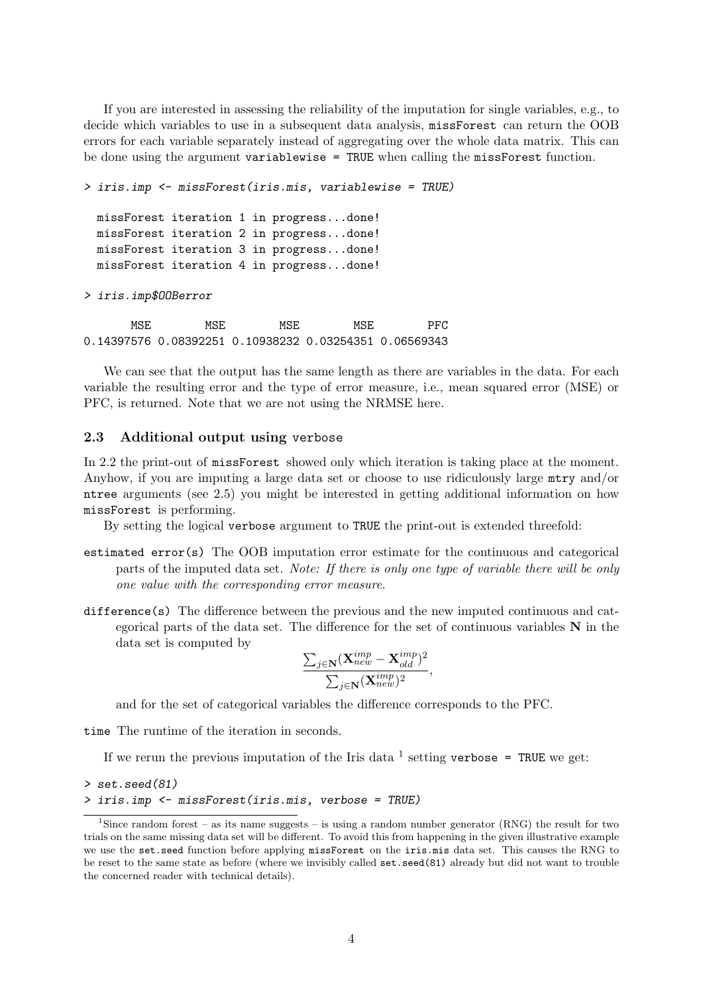If you are interested in assessing the reliability of the imputation for single variables, e.g., to decide which variables to use in a subsequent data analysis, missForest can return the OOB errors for each variable separately instead of aggregating over the whole data matrix. This can be done using the argument variablewise = TRUE when calling the missForest function.

```
> iris.imp <- missForest(iris.mis, variablewise = TRUE)
 missForest iteration 1 in progress...done!
 missForest iteration 2 in progress...done!
 missForest iteration 3 in progress...done!
 missForest iteration 4 in progress...done!
```
> iris.imp\$OOBerror

MSE MSE MSE MSE PFC 0.14397576 0.08392251 0.10938232 0.03254351 0.06569343

We can see that the output has the same length as there are variables in the data. For each variable the resulting error and the type of error measure, i.e., mean squared error (MSE) or PFC, is returned. Note that we are not using the NRMSE here.

### 2.3 Additional output using verbose

In 2.2 the print-out of missForest showed only which iteration is taking place at the moment. Anyhow, if you are imputing a large data set or choose to use ridiculously large mtry and/or ntree arguments (see 2.5) you might be interested in getting additional information on how missForest is performing.

By setting the logical verbose argument to TRUE the print-out is extended threefold:

- estimated error(s) The OOB imputation error estimate for the continuous and categorical parts of the imputed data set. Note: If there is only one type of variable there will be only one value with the corresponding error measure.
- difference(s) The difference between the previous and the new imputed continuous and categorical parts of the data set. The difference for the set of continuous variables  $N$  in the data set is computed by

$$
\frac{\sum_{j\in \mathbf{N}}(\mathbf{X}^{imp}_{new}-\mathbf{X}^{imp}_{old})^2}{\sum_{j\in \mathbf{N}}(\mathbf{X}^{imp}_{new})^2},
$$

and for the set of categorical variables the difference corresponds to the PFC.

time The runtime of the iteration in seconds.

If we rerun the previous imputation of the Iris data  $^1$  setting verbose = TRUE we get:

```
> set.seed(81)
> iris.imp <- missForest(iris.mis, verbose = TRUE)
```
<sup>&</sup>lt;sup>1</sup>Since random forest – as its name suggests – is using a random number generator (RNG) the result for two trials on the same missing data set will be different. To avoid this from happening in the given illustrative example we use the set.seed function before applying missForest on the iris.mis data set. This causes the RNG to be reset to the same state as before (where we invisibly called set.seed(81) already but did not want to trouble the concerned reader with technical details).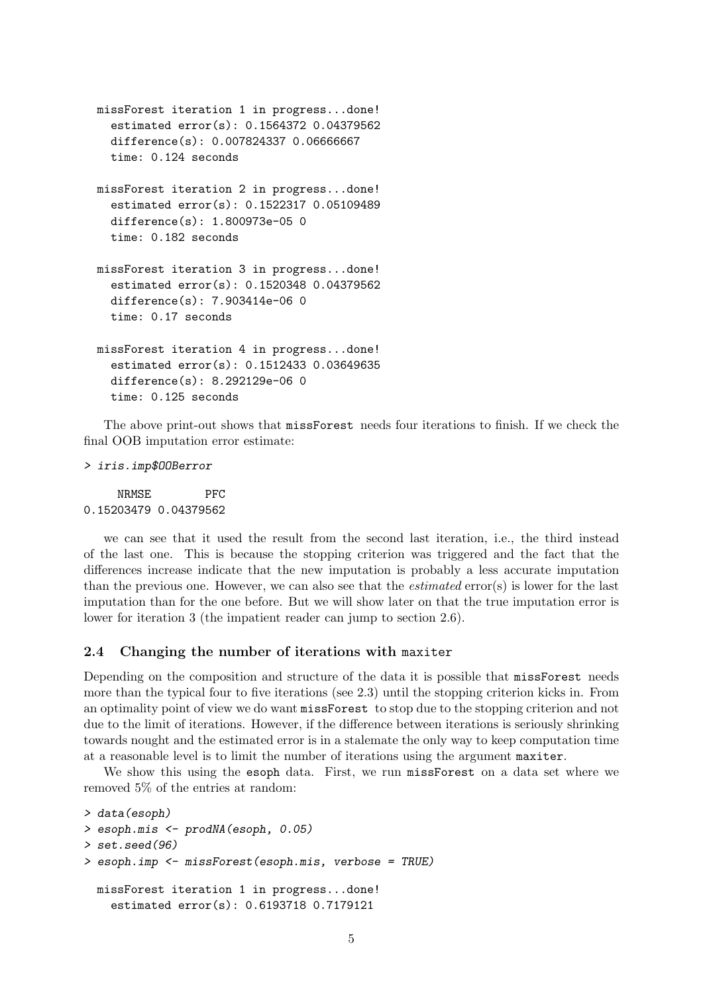```
missForest iteration 1 in progress...done!
  estimated error(s): 0.1564372 0.04379562
  difference(s): 0.007824337 0.06666667
  time: 0.124 seconds
missForest iteration 2 in progress...done!
  estimated error(s): 0.1522317 0.05109489
  difference(s): 1.800973e-05 0
  time: 0.182 seconds
missForest iteration 3 in progress...done!
  estimated error(s): 0.1520348 0.04379562
  difference(s): 7.903414e-06 0
  time: 0.17 seconds
missForest iteration 4 in progress...done!
  estimated error(s): 0.1512433 0.03649635
  difference(s): 8.292129e-06 0
  time: 0.125 seconds
```
The above print-out shows that missForest needs four iterations to finish. If we check the final OOB imputation error estimate:

> iris.imp\$OOBerror

NRMSE PFC 0.15203479 0.04379562

we can see that it used the result from the second last iteration, i.e., the third instead of the last one. This is because the stopping criterion was triggered and the fact that the differences increase indicate that the new imputation is probably a less accurate imputation than the previous one. However, we can also see that the estimated error(s) is lower for the last imputation than for the one before. But we will show later on that the true imputation error is lower for iteration 3 (the impatient reader can jump to section 2.6).

#### 2.4 Changing the number of iterations with maxiter

Depending on the composition and structure of the data it is possible that missForest needs more than the typical four to five iterations (see 2.3) until the stopping criterion kicks in. From an optimality point of view we do want missForest to stop due to the stopping criterion and not due to the limit of iterations. However, if the difference between iterations is seriously shrinking towards nought and the estimated error is in a stalemate the only way to keep computation time at a reasonable level is to limit the number of iterations using the argument maxiter.

We show this using the esoph data. First, we run missForest on a data set where we removed 5% of the entries at random:

```
> data(esoph)
> esoph.mis <- prodNA(esoph, 0.05)
> set.seed(96)
> esoph.imp <- missForest(esoph.mis, verbose = TRUE)
 missForest iteration 1 in progress...done!
    estimated error(s): 0.6193718 0.7179121
```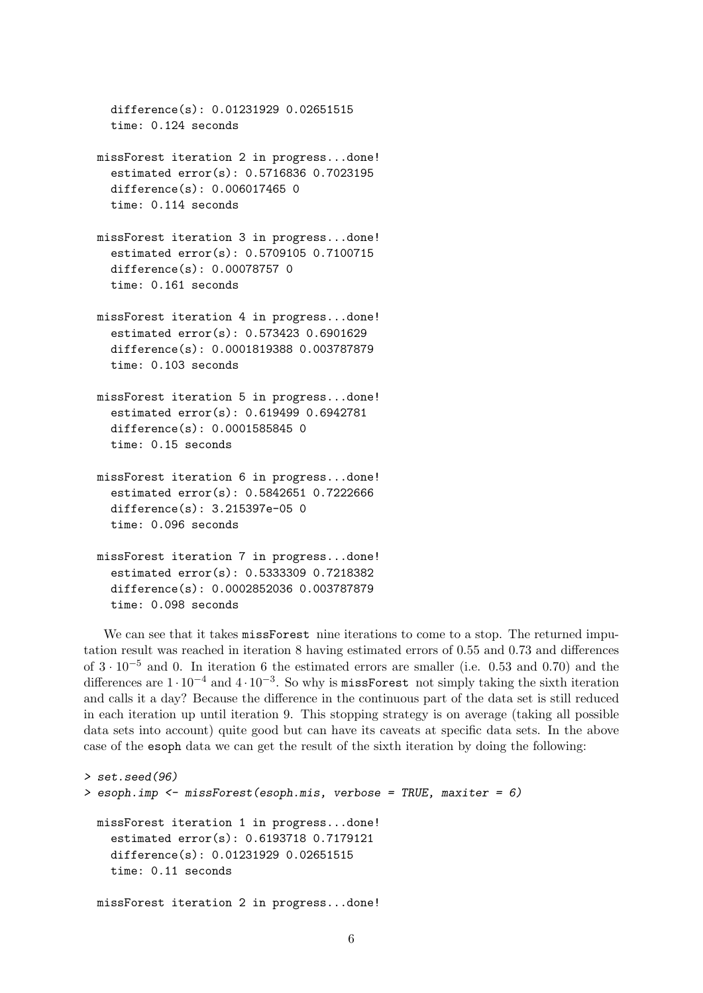```
difference(s): 0.01231929 0.02651515
time: 0.124 seconds
```
- missForest iteration 2 in progress...done! estimated error(s): 0.5716836 0.7023195 difference(s): 0.006017465 0 time: 0.114 seconds
- missForest iteration 3 in progress...done! estimated error(s): 0.5709105 0.7100715 difference(s): 0.00078757 0 time: 0.161 seconds
- missForest iteration 4 in progress...done! estimated error(s): 0.573423 0.6901629 difference(s): 0.0001819388 0.003787879 time: 0.103 seconds
- missForest iteration 5 in progress...done! estimated error(s): 0.619499 0.6942781 difference(s): 0.0001585845 0 time: 0.15 seconds
- missForest iteration 6 in progress...done! estimated error(s): 0.5842651 0.7222666 difference(s): 3.215397e-05 0 time: 0.096 seconds
- missForest iteration 7 in progress...done! estimated error(s): 0.5333309 0.7218382 difference(s): 0.0002852036 0.003787879 time: 0.098 seconds

We can see that it takes missForest nine iterations to come to a stop. The returned imputation result was reached in iteration 8 having estimated errors of 0.55 and 0.73 and differences of 3 · 10−<sup>5</sup> and 0. In iteration 6 the estimated errors are smaller (i.e. 0.53 and 0.70) and the differences are  $1 \cdot 10^{-4}$  and  $4 \cdot 10^{-3}$ . So why is missForest not simply taking the sixth iteration and calls it a day? Because the difference in the continuous part of the data set is still reduced in each iteration up until iteration 9. This stopping strategy is on average (taking all possible data sets into account) quite good but can have its caveats at specific data sets. In the above case of the esoph data we can get the result of the sixth iteration by doing the following:

```
> set.seed(96)
> esoph.imp <- missForest(esoph.mis, verbose = TRUE, maxiter = 6)
 missForest iteration 1 in progress...done!
    estimated error(s): 0.6193718 0.7179121
    difference(s): 0.01231929 0.02651515
    time: 0.11 seconds
 missForest iteration 2 in progress...done!
```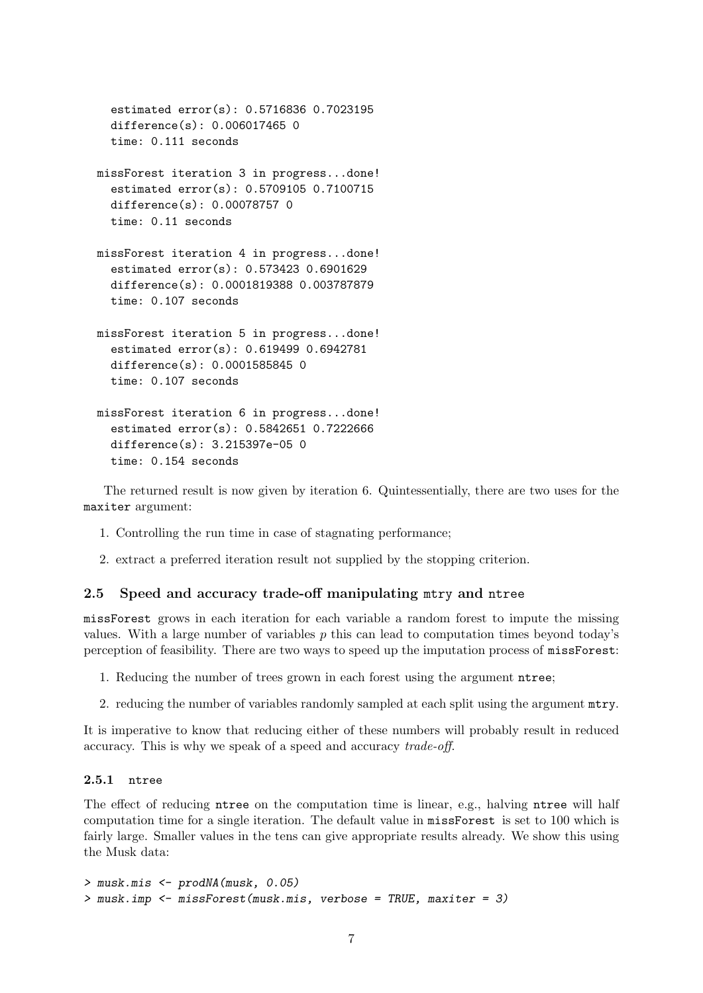```
estimated error(s): 0.5716836 0.7023195
  difference(s): 0.006017465 0
  time: 0.111 seconds
missForest iteration 3 in progress...done!
  estimated error(s): 0.5709105 0.7100715
  difference(s): 0.00078757 0
  time: 0.11 seconds
missForest iteration 4 in progress...done!
  estimated error(s): 0.573423 0.6901629
  difference(s): 0.0001819388 0.003787879
  time: 0.107 seconds
missForest iteration 5 in progress...done!
  estimated error(s): 0.619499 0.6942781
  difference(s): 0.0001585845 0
  time: 0.107 seconds
missForest iteration 6 in progress...done!
  estimated error(s): 0.5842651 0.7222666
  difference(s): 3.215397e-05 0
  time: 0.154 seconds
```
The returned result is now given by iteration 6. Quintessentially, there are two uses for the maxiter argument:

- 1. Controlling the run time in case of stagnating performance;
- 2. extract a preferred iteration result not supplied by the stopping criterion.

#### 2.5 Speed and accuracy trade-off manipulating mtry and ntree

missForest grows in each iteration for each variable a random forest to impute the missing values. With a large number of variables  $p$  this can lead to computation times beyond today's perception of feasibility. There are two ways to speed up the imputation process of missForest:

- 1. Reducing the number of trees grown in each forest using the argument ntree;
- 2. reducing the number of variables randomly sampled at each split using the argument mtry.

It is imperative to know that reducing either of these numbers will probably result in reduced accuracy. This is why we speak of a speed and accuracy trade-off.

### 2.5.1 ntree

The effect of reducing **ntree** on the computation time is linear, e.g., halving **ntree** will half computation time for a single iteration. The default value in missForest is set to 100 which is fairly large. Smaller values in the tens can give appropriate results already. We show this using the Musk data:

```
> musk.mis <- prodNA(musk, 0.05)
> musk.imp <- missForest(musk.mis, verbose = TRUE, maxiter = 3)
```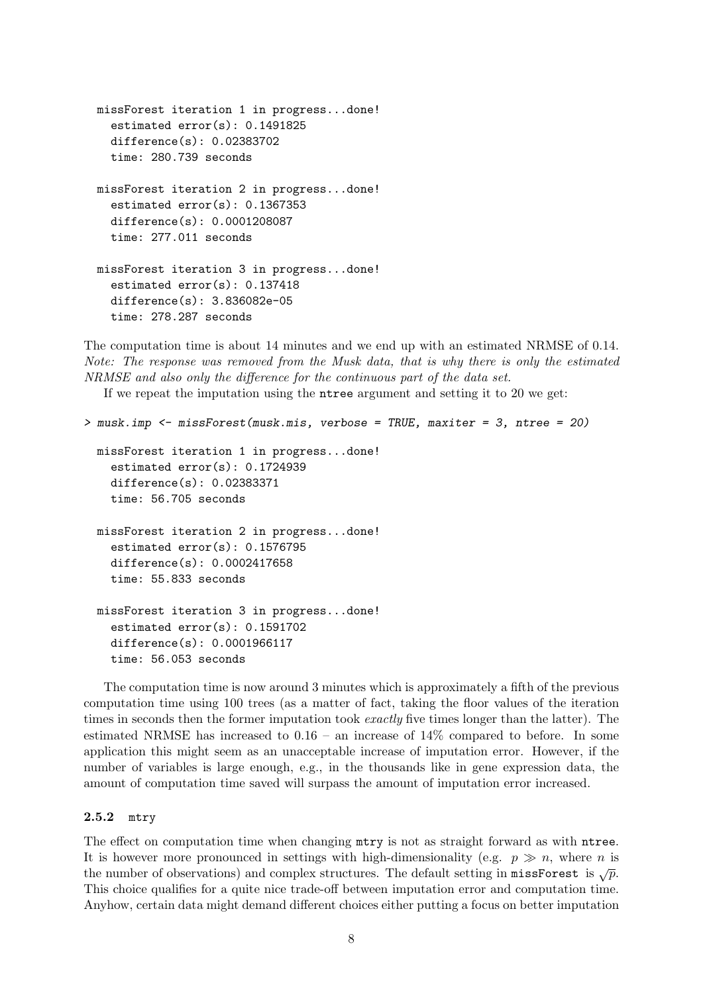```
missForest iteration 1 in progress...done!
  estimated error(s): 0.1491825
  difference(s): 0.02383702
  time: 280.739 seconds
missForest iteration 2 in progress...done!
  estimated error(s): 0.1367353
  difference(s): 0.0001208087
  time: 277.011 seconds
missForest iteration 3 in progress...done!
  estimated error(s): 0.137418
  difference(s): 3.836082e-05
  time: 278.287 seconds
```
The computation time is about 14 minutes and we end up with an estimated NRMSE of 0.14. Note: The response was removed from the Musk data, that is why there is only the estimated NRMSE and also only the difference for the continuous part of the data set.

If we repeat the imputation using the ntree argument and setting it to 20 we get:

```
> musk.imp <- missForest(musk.mis, verbose = TRUE, maxiter = 3, ntree = 20)
 missForest iteration 1 in progress...done!
    estimated error(s): 0.1724939
    difference(s): 0.02383371
    time: 56.705 seconds
 missForest iteration 2 in progress...done!
    estimated error(s): 0.1576795
    difference(s): 0.0002417658
    time: 55.833 seconds
 missForest iteration 3 in progress...done!
    estimated error(s): 0.1591702
    difference(s): 0.0001966117
    time: 56.053 seconds
```
The computation time is now around 3 minutes which is approximately a fifth of the previous computation time using 100 trees (as a matter of fact, taking the floor values of the iteration times in seconds then the former imputation took *exactly* five times longer than the latter). The estimated NRMSE has increased to 0.16 – an increase of 14% compared to before. In some application this might seem as an unacceptable increase of imputation error. However, if the number of variables is large enough, e.g., in the thousands like in gene expression data, the amount of computation time saved will surpass the amount of imputation error increased.

#### 2.5.2 mtry

The effect on computation time when changing mtry is not as straight forward as with ntree. It is however more pronounced in settings with high-dimensionality (e.g.  $p \gg n$ , where n is the number of observations) and complex structures. The default setting in missForest is  $\sqrt{p}$ . This choice qualifies for a quite nice trade-off between imputation error and computation time. Anyhow, certain data might demand different choices either putting a focus on better imputation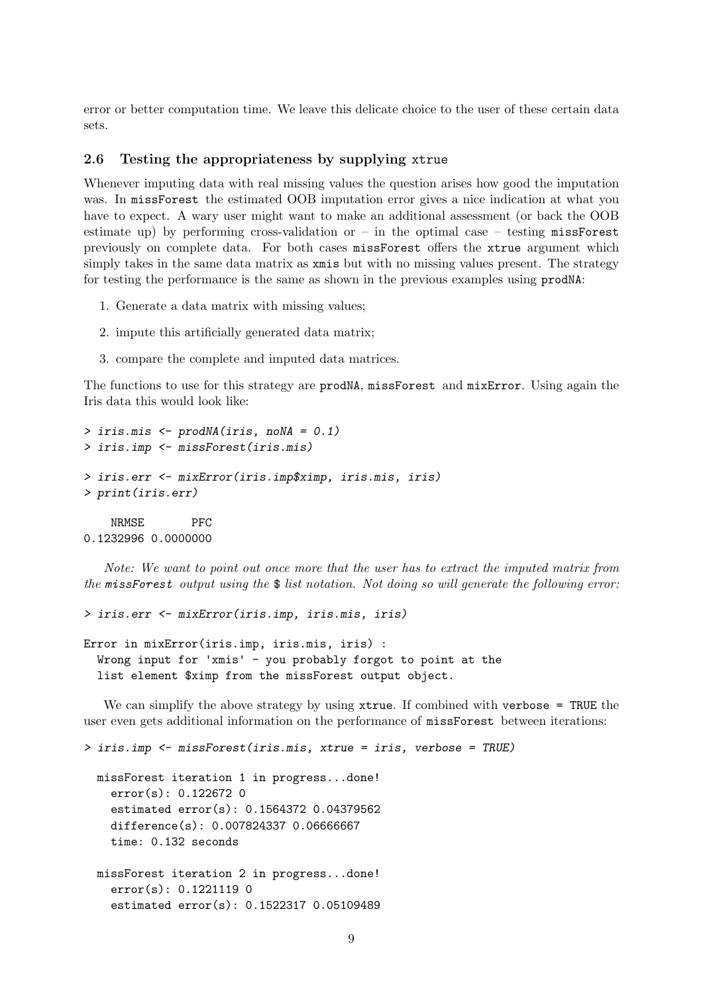error or better computation time. We leave this delicate choice to the user of these certain data sets.

#### 2.6 Testing the appropriateness by supplying xtrue

Whenever imputing data with real missing values the question arises how good the imputation was. In missForest the estimated OOB imputation error gives a nice indication at what you have to expect. A wary user might want to make an additional assessment (or back the OOB estimate up) by performing cross-validation or – in the optimal case – testing  $missForest$ previously on complete data. For both cases missForest offers the xtrue argument which simply takes in the same data matrix as  $x$ mis but with no missing values present. The strategy for testing the performance is the same as shown in the previous examples using prodNA:

- 1. Generate a data matrix with missing values;
- 2. impute this artificially generated data matrix;
- 3. compare the complete and imputed data matrices.

The functions to use for this strategy are prodNA, missForest and mixError. Using again the Iris data this would look like:

```
> iris.mis <- prodNA(iris, noNA = 0.1)
> iris.imp <- missForest(iris.mis)
> iris.err <- mixError(iris.imp$ximp, iris.mis, iris)
> print(iris.err)
    NRMSE PFC
0.1232996 0.0000000
```
Note: We want to point out once more that the user has to extract the imputed matrix from the missForest output using the  $\frac{1}{2}$  list notation. Not doing so will generate the following error:

```
> iris.err <- mixError(iris.imp, iris.mis, iris)
```

```
Error in mixError(iris.imp, iris.mis, iris) :
  Wrong input for 'xmis' - you probably forgot to point at the
  list element $ximp from the missForest output object.
```
We can simplify the above strategy by using **xtrue**. If combined with verbose = TRUE the user even gets additional information on the performance of missForest between iterations:

```
> iris.imp <- missForest(iris.mis, xtrue = iris, verbose = TRUE)
 missForest iteration 1 in progress...done!
    error(s): 0.122672 0
    estimated error(s): 0.1564372 0.04379562
    difference(s): 0.007824337 0.06666667
    time: 0.132 seconds
 missForest iteration 2 in progress...done!
    error(s): 0.1221119 0
    estimated error(s): 0.1522317 0.05109489
```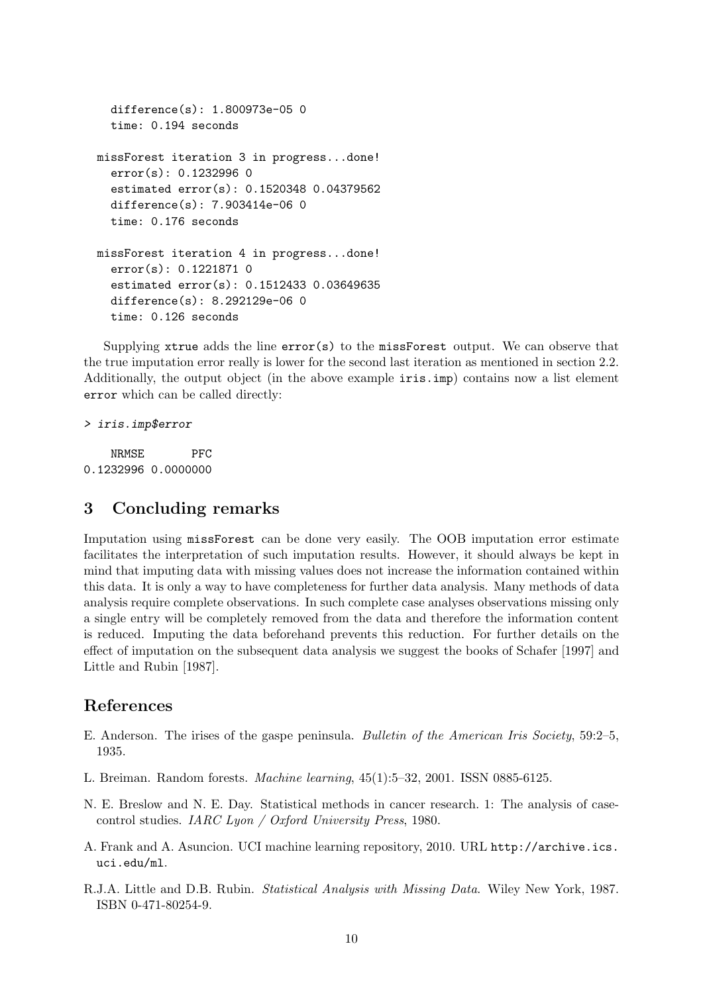```
difference(s): 1.800973e-05 0
  time: 0.194 seconds
missForest iteration 3 in progress...done!
  error(s): 0.1232996 0
  estimated error(s): 0.1520348 0.04379562
  difference(s): 7.903414e-06 0
  time: 0.176 seconds
missForest iteration 4 in progress...done!
  error(s): 0.1221871 0
  estimated error(s): 0.1512433 0.03649635
  difference(s): 8.292129e-06 0
  time: 0.126 seconds
```
Supplying xtrue adds the line  $error(s)$  to the missForest output. We can observe that the true imputation error really is lower for the second last iteration as mentioned in section 2.2. Additionally, the output object (in the above example iris.imp) contains now a list element error which can be called directly:

```
> iris.imp$error
```
NRMSE PFC 0.1232996 0.0000000

# 3 Concluding remarks

Imputation using missForest can be done very easily. The OOB imputation error estimate facilitates the interpretation of such imputation results. However, it should always be kept in mind that imputing data with missing values does not increase the information contained within this data. It is only a way to have completeness for further data analysis. Many methods of data analysis require complete observations. In such complete case analyses observations missing only a single entry will be completely removed from the data and therefore the information content is reduced. Imputing the data beforehand prevents this reduction. For further details on the effect of imputation on the subsequent data analysis we suggest the books of Schafer [1997] and Little and Rubin [1987].

### References

- E. Anderson. The irises of the gaspe peninsula. Bulletin of the American Iris Society, 59:2–5, 1935.
- L. Breiman. Random forests. Machine learning, 45(1):5–32, 2001. ISSN 0885-6125.
- N. E. Breslow and N. E. Day. Statistical methods in cancer research. 1: The analysis of casecontrol studies. IARC Lyon / Oxford University Press, 1980.
- A. Frank and A. Asuncion. UCI machine learning repository, 2010. URL http://archive.ics. uci.edu/ml.
- R.J.A. Little and D.B. Rubin. Statistical Analysis with Missing Data. Wiley New York, 1987. ISBN 0-471-80254-9.